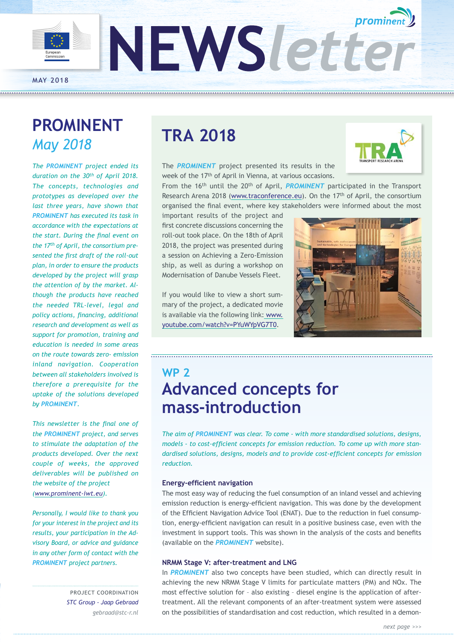

## **PROMINENT** *May 2018*

*The PROMINENT project ended its duration on the 30th of April 2018. The concepts, technologies and prototypes as developed over the last three years, have shown that PROMINENT has executed its task in accordance with the expectations at the start. During the final event on the 17th of April, the consortium presented the first draft of the roll-out plan, in order to ensure the products developed by the project will grasp the attention of by the market. Although the products have reached the needed TRL-level, legal and policy actions, financing, additional research and development as well as support for promotion, training and education is needed in some areas on the route towards zero- emission inland navigation. Cooperation between all stakeholders involved is therefore a prerequisite for the uptake of the solutions developed by PROMINENT.* 

*This newsletter is the final one of the PROMINENT project, and serves to stimulate the adaptation of the products developed. Over the next couple of weeks, the approved deliverables will be published on the website of the project ([www.prominent-iwt.eu\)](http://www.prominent-iwt.eu).* 

*Personally, I would like to thank you for your interest in the project and its results, your participation in the Advisory Board, or advice and guidance in any other form of contact with the PROMINENT project partners.* 

> PROJECT COORDINATION *STC Group - Jaap Gebraad [gebraad@stc-r.nl](mailto:gebraad%40stc-r.nl?subject=)*

# **TRA 2018**

The *PROMINENT* project presented its results in the week of the 17th of April in Vienna, at various occasions.

From the 16<sup>th</sup> until the 20<sup>th</sup> of April, **PROMINENT** participated in the Transport Research Arena 2018 [\(www.traconference.eu\)](http://www.traconference.eu). On the 17<sup>th</sup> of April, the consortium organised the final event, where key stakeholders were informed about the most

important results of the project and first concrete discussions concerning the roll-out took place. On the 18th of April 2018, the project was presented during a session on Achieving a Zero-Emission ship, as well as during a workshop on Modernisation of Danube Vessels Fleet.

If you would like to view a short summary of the project, a dedicated movie is available via the following link: [www.](http://www.youtube.com/watch?v=PYuWYpVG7T0) [youtube.com/watch?v=PYuWYpVG7T0.](http://www.youtube.com/watch?v=PYuWYpVG7T0)



## **WP 2 Advanced concepts for mass-introduction**

*The aim of PROMINENT was clear. To come - with more standardised solutions, designs, models - to cost-efficient concepts for emission reduction. To come up with more standardised solutions, designs, models and to provide cost-efficient concepts for emission reduction.* 

#### **Energy-efficient navigation**

The most easy way of reducing the fuel consumption of an inland vessel and achieving emission reduction is energy-efficient navigation. This was done by the development of the Efficient Navigation Advice Tool (ENAT). Due to the reduction in fuel consumption, energy-efficient navigation can result in a positive business case, even with the investment in support tools. This was shown in the analysis of the costs and benefits (available on the *PROMINENT* website).

#### **NRMM Stage V: after-treatment and LNG**

In *PROMINENT* also two concepts have been studied, which can directly result in achieving the new NRMM Stage V limits for particulate matters (PM) and NOx. The most effective solution for – also existing – diesel engine is the application of aftertreatment. All the relevant components of an after-treatment system were assessed on the possibilities of standardisation and cost reduction, which resulted in a demon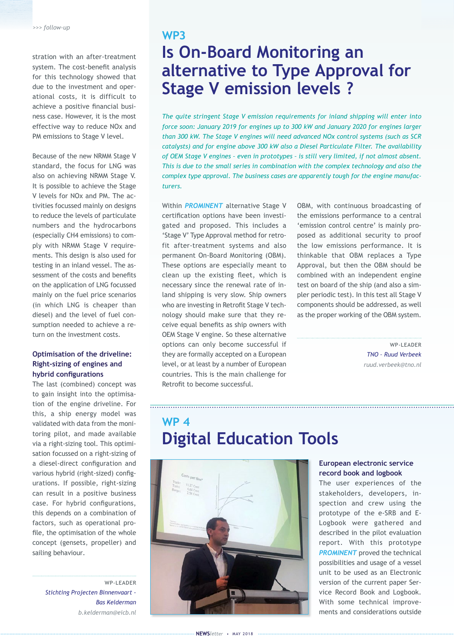stration with an after-treatment system. The cost-benefit analysis for this technology showed that due to the investment and operational costs, it is difficult to achieve a positive financial business case. However, it is the most effective way to reduce NOx and PM emissions to Stage V level.

Because of the new NRMM Stage V standard, the focus for LNG was also on achieving NRMM Stage V. It is possible to achieve the Stage V levels for NOx and PM. The activities focussed mainly on designs to reduce the levels of particulate numbers and the hydrocarbons (especially CH4 emissions) to comply with NRMM Stage V requirements. This design is also used for testing in an inland vessel. The assessment of the costs and benefits on the application of LNG focussed mainly on the fuel price scenarios (in which LNG is cheaper than diesel) and the level of fuel consumption needed to achieve a return on the investment costs.

#### **Optimisation of the driveline: Right-sizing of engines and hybrid configurations**

The last (combined) concept was to gain insight into the optimisation of the engine driveline. For this, a ship energy model was validated with data from the monitoring pilot, and made available via a right-sizing tool. This optimisation focussed on a right-sizing of a diesel-direct configuration and various hybrid (right-sized) configurations. If possible, right-sizing can result in a positive business case. For hybrid configurations, this depends on a combination of factors, such as operational profile, the optimisation of the whole concept (gensets, propeller) and sailing behaviour.

> WP-LEADER *Stichting Projecten Binnenvaart - Bas Kelderman [b.kelderman@eicb.nl](mailto:b.kelderman%40eicb.nl%20?subject=)*

### **WP3 Is On-Board Monitoring an alternative to Type Approval for Stage V emission levels ?**

*The quite stringent Stage V emission requirements for inland shipping will enter into force soon: January 2019 for engines up to 300 kW and January 2020 for engines larger than 300 kW. The Stage V engines will need advanced NOx control systems (such as SCR catalysts) and for engine above 300 kW also a Diesel Particulate Filter. The availability of OEM Stage V engines – even in prototypes – is still very limited, if not almost absent. This is due to the small series in combination with the complex technology and also the complex type approval. The business cases are apparently tough for the engine manufacturers.* 

Within *PROMINENT* alternative Stage V certification options have been investigated and proposed. This includes a 'Stage V' Type Approval method for retrofit after-treatment systems and also permanent On-Board Monitoring (OBM). These options are especially meant to clean up the existing fleet, which is necessary since the renewal rate of inland shipping is very slow. Ship owners who are investing in Retrofit Stage V technology should make sure that they receive equal benefits as ship owners with OEM Stage V engine. So these alternative options can only become successful if they are formally accepted on a European level, or at least by a number of European countries. This is the main challenge for Retrofit to become successful.

OBM, with continuous broadcasting of the emissions performance to a central 'emission control centre' is mainly proposed as additional security to proof the low emissions performance. It is thinkable that OBM replaces a Type Approval, but then the OBM should be combined with an independent engine test on board of the ship (and also a simpler periodic test). In this test all Stage V components should be addressed, as well as the proper working of the OBM system.

> WP-LEADER *TNO – Ruud Verbeek [ruud.verbeek@tno.nl](mailto:ruud.verbeek%40tno.nl%20?subject=)*

## **WP 4 Digital Education Tools**



#### **European electronic service record book and logbook**

The user experiences of the stakeholders, developers, inspection and crew using the prototype of the e-SRB and E-Logbook were gathered and described in the pilot evaluation report. With this prototype **PROMINENT** proved the technical possibilities and usage of a vessel unit to be used as an Electronic version of the current paper Service Record Book and Logbook. With some technical improvements and considerations outside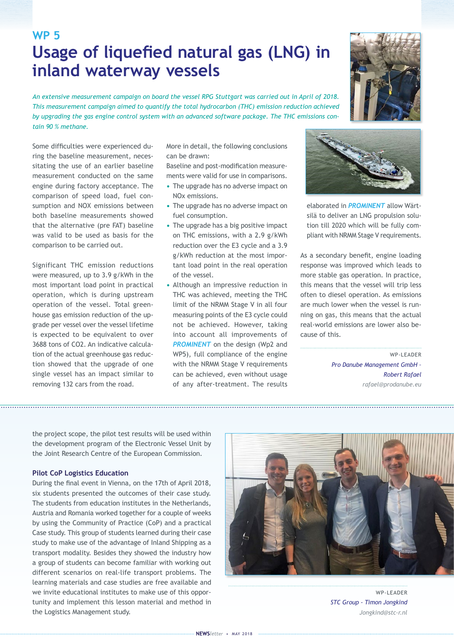### **WP 5 Usage of liquefied natural gas (LNG) in inland waterway vessels**

*An extensive measurement campaign on board the vessel RPG Stuttgart was carried out in April of 2018. This measurement campaign aimed to quantify the total hydrocarbon (THC) emission reduction achieved by upgrading the gas engine control system with an advanced software package. The THC emissions contain 90 % methane.* 

Some difficulties were experienced during the baseline measurement, necessitating the use of an earlier baseline measurement conducted on the same engine during factory acceptance. The comparison of speed load, fuel consumption and NOX emissions between both baseline measurements showed that the alternative (pre FAT) baseline was valid to be used as basis for the comparison to be carried out.

Significant THC emission reductions were measured, up to 3.9 g/kWh in the most important load point in practical operation, which is during upstream operation of the vessel. Total greenhouse gas emission reduction of the upgrade per vessel over the vessel lifetime is expected to be equivalent to over 3688 tons of CO2. An indicative calculation of the actual greenhouse gas reduction showed that the upgrade of one single vessel has an impact similar to removing 132 cars from the road.

More in detail, the following conclusions can be drawn:

Baseline and post-modification measurements were valid for use in comparisons.

- **•** The upgrade has no adverse impact on NOx emissions.
- **•** The upgrade has no adverse impact on fuel consumption.
- **•** The upgrade has a big positive impact on THC emissions, with a 2.9 g/kWh reduction over the E3 cycle and a 3.9 g/kWh reduction at the most important load point in the real operation of the vessel.
- **•** Although an impressive reduction in THC was achieved, meeting the THC limit of the NRMM Stage V in all four measuring points of the E3 cycle could not be achieved. However, taking into account all improvements of **PROMINENT** on the design (Wp2 and WP5), full compliance of the engine with the NRMM Stage V requirements can be achieved, even without usage of any after-treatment. The results



silä to deliver an LNG propulsion solution till 2020 which will be fully compliant with NRMM Stage V requirements.

As a secondary benefit, engine loading response was improved which leads to more stable gas operation. In practice, this means that the vessel will trip less often to diesel operation. As emissions are much lower when the vessel is running on gas, this means that the actual real-world emissions are lower also because of this.

> WP-LEADER *Pro Danube Management GmbH – Robert Rafael [rafael@prodanube.eu](mailto:rafael%40prodanube.eu%20?subject=)*

the project scope, the pilot test results will be used within the development program of the Electronic Vessel Unit by the Joint Research Centre of the European Commission.

#### **Pilot CoP Logistics Education**

During the final event in Vienna, on the 17th of April 2018, six students presented the outcomes of their case study. The students from education institutes in the Netherlands, Austria and Romania worked together for a couple of weeks by using the Community of Practice (CoP) and a practical Case study. This group of students learned during their case study to make use of the advantage of Inland Shipping as a transport modality. Besides they showed the industry how a group of students can become familiar with working out different scenarios on real-life transport problems. The learning materials and case studies are free available and we invite educational institutes to make use of this opportunity and implement this lesson material and method in the Logistics Management study.



WP-LEADER *STC Group - Timon Jongkind [Jongkind@stc-r.nl](mailto:Jongkind%40stc-r.nl%20%20?subject=)*